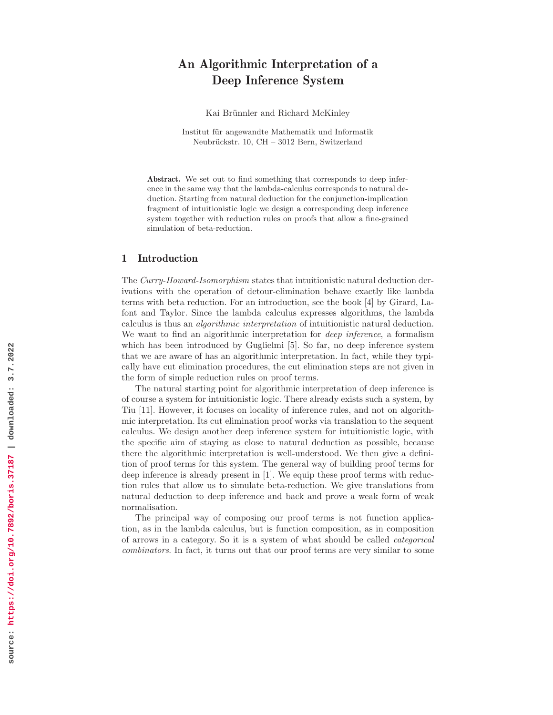# An Algorithmic Interpretation of a Deep Inference System

Kai Brünnler and Richard McKinley

Institut für angewandte Mathematik und Informatik Neubrückstr. 10, CH – 3012 Bern, Switzerland

Abstract. We set out to find something that corresponds to deep inference in the same way that the lambda-calculus corresponds to natural deduction. Starting from natural deduction for the conjunction-implication fragment of intuitionistic logic we design a corresponding deep inference system together with reduction rules on proofs that allow a fine-grained simulation of beta-reduction.

# 1 Introduction

The Curry-Howard-Isomorphism states that intuitionistic natural deduction derivations with the operation of detour-elimination behave exactly like lambda terms with beta reduction. For an introduction, see the book [4] by Girard, Lafont and Taylor. Since the lambda calculus expresses algorithms, the lambda calculus is thus an algorithmic interpretation of intuitionistic natural deduction. We want to find an algorithmic interpretation for *deep inference*, a formalism which has been introduced by Guglielmi [5]. So far, no deep inference system that we are aware of has an algorithmic interpretation. In fact, while they typically have cut elimination procedures, the cut elimination steps are not given in the form of simple reduction rules on proof terms.

The natural starting point for algorithmic interpretation of deep inference is of course a system for intuitionistic logic. There already exists such a system, by Tiu [11]. However, it focuses on locality of inference rules, and not on algorithmic interpretation. Its cut elimination proof works via translation to the sequent calculus. We design another deep inference system for intuitionistic logic, with the specific aim of staying as close to natural deduction as possible, because there the algorithmic interpretation is well-understood. We then give a definition of proof terms for this system. The general way of building proof terms for deep inference is already present in [1]. We equip these proof terms with reduction rules that allow us to simulate beta-reduction. We give translations from natural deduction to deep inference and back and prove a weak form of weak normalisation.

The principal way of composing our proof terms is not function application, as in the lambda calculus, but is function composition, as in composition of arrows in a category. So it is a system of what should be called categorical combinators. In fact, it turns out that our proof terms are very similar to some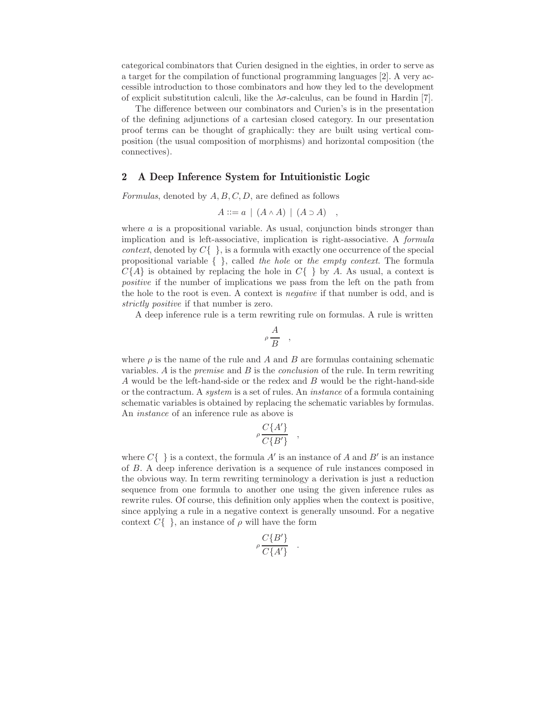categorical combinators that Curien designed in the eighties, in order to serve as a target for the compilation of functional programming languages [2]. A very accessible introduction to those combinators and how they led to the development of explicit substitution calculi, like the  $\lambda \sigma$ -calculus, can be found in Hardin [7].

The difference between our combinators and Curien's is in the presentation of the defining adjunctions of a cartesian closed category. In our presentation proof terms can be thought of graphically: they are built using vertical composition (the usual composition of morphisms) and horizontal composition (the connectives).

### 2 A Deep Inference System for Intuitionistic Logic

Formulas, denoted by  $A, B, C, D$ , are defined as follows

$$
A ::= a \mid (A \land A) \mid (A \supset A) ,
$$

where  $\alpha$  is a propositional variable. As usual, conjunction binds stronger than implication and is left-associative, implication is right-associative. A formula *context*, denoted by  $C\{\}\;$ , is a formula with exactly one occurrence of the special propositional variable { }, called the hole or the empty context. The formula  $C{A}$  is obtained by replacing the hole in  $C{$  } by A. As usual, a context is positive if the number of implications we pass from the left on the path from the hole to the root is even. A context is negative if that number is odd, and is strictly positive if that number is zero.

A deep inference rule is a term rewriting rule on formulas. A rule is written

$$
\rho \frac{A}{B} \quad ,
$$

where  $\rho$  is the name of the rule and A and B are formulas containing schematic variables. A is the *premise* and  $B$  is the *conclusion* of the rule. In term rewriting A would be the left-hand-side or the redex and B would be the right-hand-side or the contractum. A system is a set of rules. An instance of a formula containing schematic variables is obtained by replacing the schematic variables by formulas. An instance of an inference rule as above is

$$
\rho \frac{C\{A'\}}{C\{B'\}}
$$

,

.

where  $C\{\}\}$  is a context, the formula  $A'$  is an instance of A and B' is an instance of B. A deep inference derivation is a sequence of rule instances composed in the obvious way. In term rewriting terminology a derivation is just a reduction sequence from one formula to another one using the given inference rules as rewrite rules. Of course, this definition only applies when the context is positive, since applying a rule in a negative context is generally unsound. For a negative context  $C\{\}\$ , an instance of  $\rho$  will have the form

$$
\rho \frac{C\{B'\}}{C\{A'\}}
$$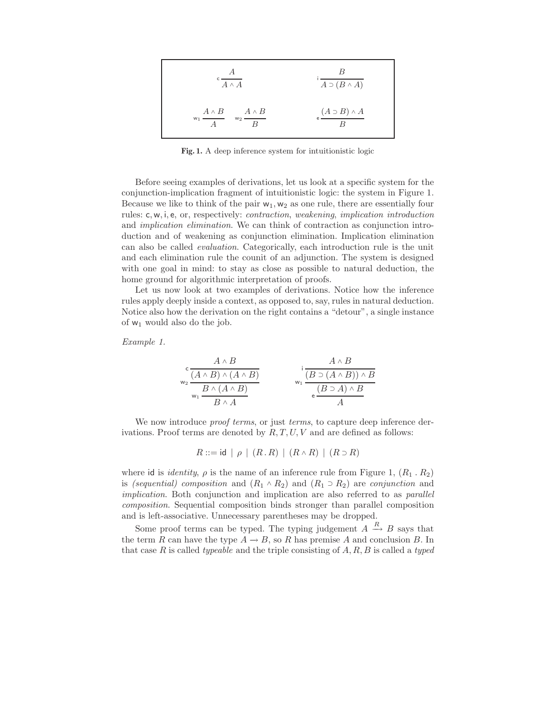| $\overline{A \wedge A}$                     | $\overline{A} \supset (B \wedge A)$ |
|---------------------------------------------|-------------------------------------|
| $A \wedge B$ $A \wedge B$                   | $(A \supset B) \wedge A$            |
| $w_1 \longrightarrow w_2 \longrightarrow R$ | e                                   |

Fig. 1. A deep inference system for intuitionistic logic

Before seeing examples of derivations, let us look at a specific system for the conjunction-implication fragment of intuitionistic logic: the system in Figure 1. Because we like to think of the pair  $w_1, w_2$  as one rule, there are essentially four rules: c,w, i, e, or, respectively: contraction, weakening, implication introduction and implication elimination. We can think of contraction as conjunction introduction and of weakening as conjunction elimination. Implication elimination can also be called evaluation. Categorically, each introduction rule is the unit and each elimination rule the counit of an adjunction. The system is designed with one goal in mind: to stay as close as possible to natural deduction, the home ground for algorithmic interpretation of proofs.

Let us now look at two examples of derivations. Notice how the inference rules apply deeply inside a context, as opposed to, say, rules in natural deduction. Notice also how the derivation on the right contains a "detour", a single instance of  $w_1$  would also do the job.

Example 1.

$$
\begin{array}{ccc}\n & A \wedge B & A \wedge B \\
\downarrow^{\infty} & (A \wedge B) \wedge (A \wedge B) & \downarrow^{\infty} \\
\downarrow^{\infty} & B \wedge (A \wedge B) & \downarrow^{\infty} \\
\downarrow^{\infty} & (B \supset (A \wedge B)) \wedge B \\
\downarrow^{\infty} & (B \supset A) \wedge B \\
\downarrow^{\infty} & A\n\end{array}
$$

We now introduce *proof terms*, or just *terms*, to capture deep inference derivations. Proof terms are denoted by  $R, T, U, V$  and are defined as follows:

 $R ::= id | \rho | (R \cdot R) | (R \wedge R) | (R \supset R)$ 

where id is *identity*,  $\rho$  is the name of an inference rule from Figure 1,  $(R_1, R_2)$ is (sequential) composition and  $(R_1 \wedge R_2)$  and  $(R_1 \supset R_2)$  are conjunction and implication. Both conjunction and implication are also referred to as parallel composition. Sequential composition binds stronger than parallel composition and is left-associative. Unnecessary parentheses may be dropped.

Some proof terms can be typed. The typing judgement  $A \stackrel{R}{\rightarrow} B$  says that the term R can have the type  $A \rightarrow B$ , so R has premise A and conclusion B. In that case R is called typeable and the triple consisting of  $A, R, B$  is called a typed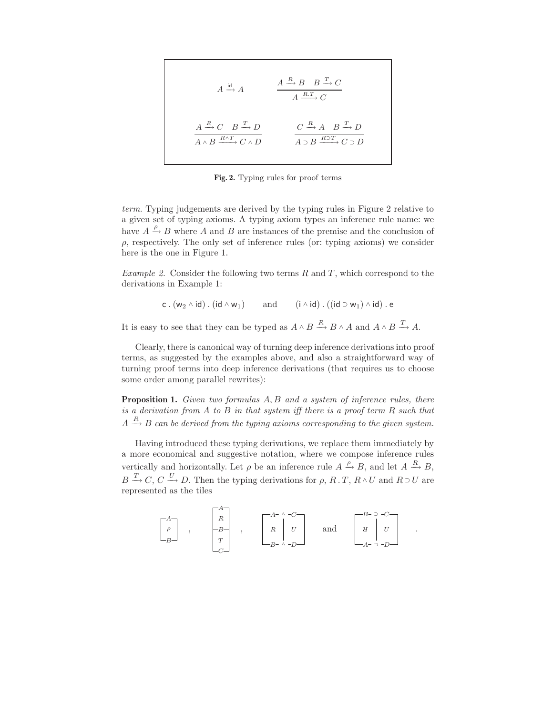$$
A \xrightarrow{\text{id}} A \qquad \xrightarrow{A \xrightarrow{R} B \xrightarrow{T} C}
$$
  

$$
A \xrightarrow{R.T} C
$$
  

$$
\xrightarrow{A \xrightarrow{R} C \xrightarrow{B \xrightarrow{T}} D} \qquad \xrightarrow{C \xrightarrow{R} A \xrightarrow{B \xrightarrow{T}} D}
$$
  

$$
\xrightarrow{A \wedge B \xrightarrow{R \wedge T} C \wedge D} \qquad \xrightarrow{A \supset B \xrightarrow{R \supset T} C \supset D}
$$

Fig. 2. Typing rules for proof terms

term. Typing judgements are derived by the typing rules in Figure 2 relative to a given set of typing axioms. A typing axiom types an inference rule name: we have  $A \xrightarrow{\rho} B$  where A and B are instances of the premise and the conclusion of  $\rho$ , respectively. The only set of inference rules (or: typing axioms) we consider here is the one in Figure 1.

*Example 2.* Consider the following two terms  $R$  and  $T$ , which correspond to the derivations in Example 1:

$$
c \cdot (w_2 \wedge id) \cdot (id \wedge w_1) \qquad \text{and} \qquad (i \wedge id) \cdot ((id \supset w_1) \wedge id) \cdot e
$$

It is easy to see that they can be typed as  $A \wedge B \stackrel{R}{\to} B \wedge A$  and  $A \wedge B \stackrel{T}{\to} A$ .

Clearly, there is canonical way of turning deep inference derivations into proof terms, as suggested by the examples above, and also a straightforward way of turning proof terms into deep inference derivations (that requires us to choose some order among parallel rewrites):

**Proposition 1.** Given two formulas  $A, B$  and a system of inference rules, there is a derivation from  $A$  to  $B$  in that system iff there is a proof term  $R$  such that  $A\stackrel{R}{\rightarrow} B$  can be derived from the typing axioms corresponding to the given system.

Having introduced these typing derivations, we replace them immediately by a more economical and suggestive notation, where we compose inference rules vertically and horizontally. Let  $\rho$  be an inference rule  $A \xrightarrow{\rho} B$ , and let  $A \xrightarrow{R} B$ ,  $B \xrightarrow{T} C, C \xrightarrow{U} D$ . Then the typing derivations for  $\rho, R, T, R \wedge U$  and  $R \supset U$  are represented as the tiles



.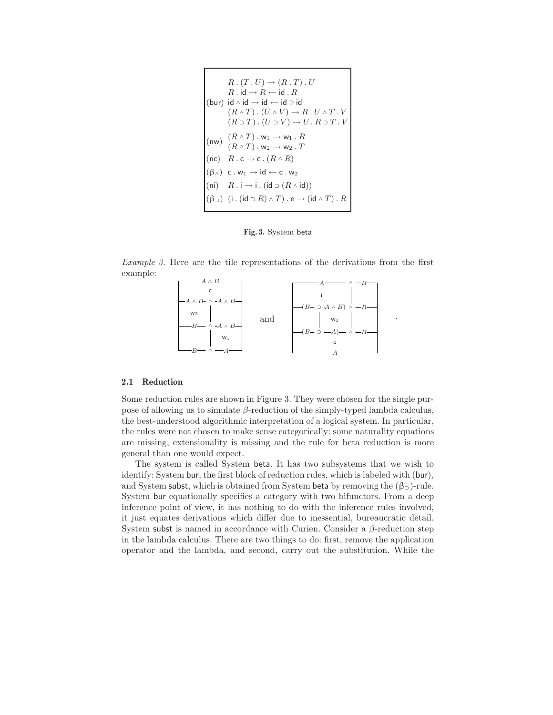$$
R \cdot (T \cdot U) \rightarrow (R \cdot T) \cdot U
$$
  
\n
$$
R \cdot id \rightarrow R \leftarrow id \cdot R
$$
  
\n(bur)  $id \land id \rightarrow id \leftarrow id \supset id$   
\n
$$
(R \land T) \cdot (U \land V) \rightarrow R \cdot U \land T \cdot V
$$
  
\n
$$
(R \supset T) \cdot (U \supset V) \rightarrow U \cdot R \supset T \cdot V
$$
  
\n(nw) 
$$
(R \land T) \cdot w_1 \rightarrow w_1 \cdot R
$$
  
\n
$$
(R \land T) \cdot w_2 \rightarrow w_2 \cdot T
$$
  
\n(nc) 
$$
R \cdot c \rightarrow c \cdot (R \land R)
$$
  
\n
$$
( \beta \land ) \quad c \cdot w_1 \rightarrow id \leftarrow c \cdot w_2
$$
  
\n(ni) 
$$
R \cdot i \rightarrow i \cdot (id \supset (R \land id))
$$
  
\n
$$
( \beta \supset (i \cdot (id \supset R) \land T) \cdot e \rightarrow (id \land T) \cdot R)
$$

Fig. 3. System beta

Example 3. Here are the tile representations of the derivations from the first example:



.

### 2.1 Reduction

Some reduction rules are shown in Figure 3. They were chosen for the single purpose of allowing us to simulate  $\beta$ -reduction of the simply-typed lambda calculus, the best-understood algorithmic interpretation of a logical system. In particular, the rules were not chosen to make sense categorically: some naturality equations are missing, extensionality is missing and the rule for beta reduction is more general than one would expect.

The system is called System beta. It has two subsystems that we wish to identify: System bur, the first block of reduction rules, which is labeled with (bur), and System subst, which is obtained from System beta by removing the  $(\beta_2)$ -rule. System bur equationally specifies a category with two bifunctors. From a deep inference point of view, it has nothing to do with the inference rules involved, it just equates derivations which differ due to inessential, bureaucratic detail. System subst is named in accordance with Curien. Consider a  $\beta$ -reduction step in the lambda calculus. There are two things to do: first, remove the application operator and the lambda, and second, carry out the substitution. While the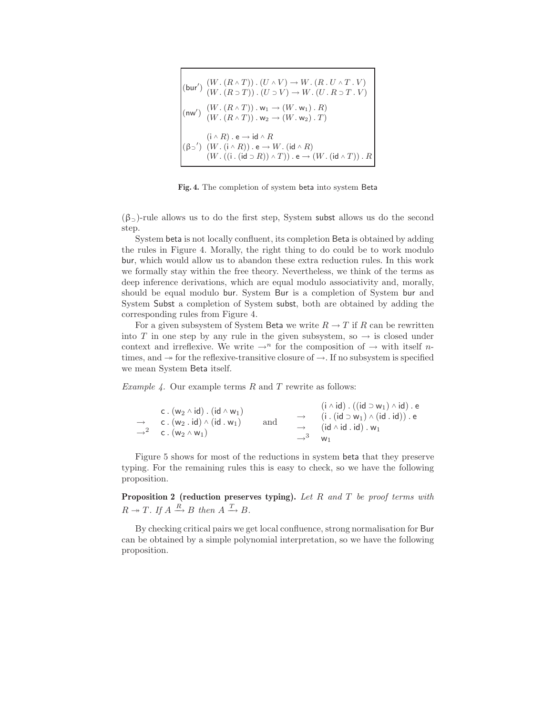$$
\begin{aligned}\n\text{(bur')} \quad & (W. (R \wedge T)) \cdot (U \wedge V) \rightarrow W. (R. U \wedge T. V) \\
& (W. (R \supset T)) \cdot (U \supset V) \rightarrow W. (U. R \supset T. V) \\
& (w') \quad & (W. (R \wedge T)) \cdot w_1 \rightarrow (W. w_1) \cdot R) \\
& (w) \quad & (W. (R \wedge T)) \cdot w_2 \rightarrow (W. w_2) \cdot T) \\
& (i \wedge R) \cdot e \rightarrow id \wedge R \\
& (w) \quad & (W. (i \wedge R)) \cdot e \rightarrow W. (id \wedge R) \\
& (W. ((i. (id \supset R)) \wedge T)) \cdot e \rightarrow (W. (id \wedge T)) \cdot R\n\end{aligned}
$$

Fig. 4. The completion of system beta into system Beta

 $(\beta_{\supset})$ -rule allows us to do the first step, System subst allows us do the second step.

System beta is not locally confluent, its completion Beta is obtained by adding the rules in Figure 4. Morally, the right thing to do could be to work modulo bur, which would allow us to abandon these extra reduction rules. In this work we formally stay within the free theory. Nevertheless, we think of the terms as deep inference derivations, which are equal modulo associativity and, morally, should be equal modulo bur. System Bur is a completion of System bur and System Subst a completion of System subst, both are obtained by adding the corresponding rules from Figure 4.

For a given subsystem of System Beta we write  $R \to T$  if R can be rewritten into T in one step by any rule in the given subsystem, so  $\rightarrow$  is closed under context and irreflexive. We write  $\rightarrow^n$  for the composition of  $\rightarrow$  with itself ntimes, and  $\rightarrow$  for the reflexive-transitive closure of  $\rightarrow$ . If no subsystem is specified we mean System Beta itself.

*Example 4.* Our example terms  $R$  and  $T$  rewrite as follows:

| c. $(w_2 \wedge id)$ . $(id \wedge w_1)$<br>$\rightarrow$ c. $(w_2$ . id) $\land$ (id . $w_1$ )<br>and<br>$\rightarrow^2$ c. $(w_2 \wedge w_1)$ | $\rightarrow$ <sup>3</sup> W <sub>1</sub> | $(i \wedge id)$ . $((id \supset w_1) \wedge id)$ . e<br>$\rightarrow$ (i. (id $\supset w_1$ ) $\wedge$ (id . id)) . e<br>$\rightarrow$ (id $\wedge$ id . id) . $w_1$ |
|-------------------------------------------------------------------------------------------------------------------------------------------------|-------------------------------------------|----------------------------------------------------------------------------------------------------------------------------------------------------------------------|
|-------------------------------------------------------------------------------------------------------------------------------------------------|-------------------------------------------|----------------------------------------------------------------------------------------------------------------------------------------------------------------------|

Figure 5 shows for most of the reductions in system beta that they preserve typing. For the remaining rules this is easy to check, so we have the following proposition.

**Proposition 2** (reduction preserves typing). Let R and T be proof terms with  $R \to T$ . If  $A \xrightarrow{R} B$  then  $A \xrightarrow{T} B$ .

By checking critical pairs we get local confluence, strong normalisation for Bur can be obtained by a simple polynomial interpretation, so we have the following proposition.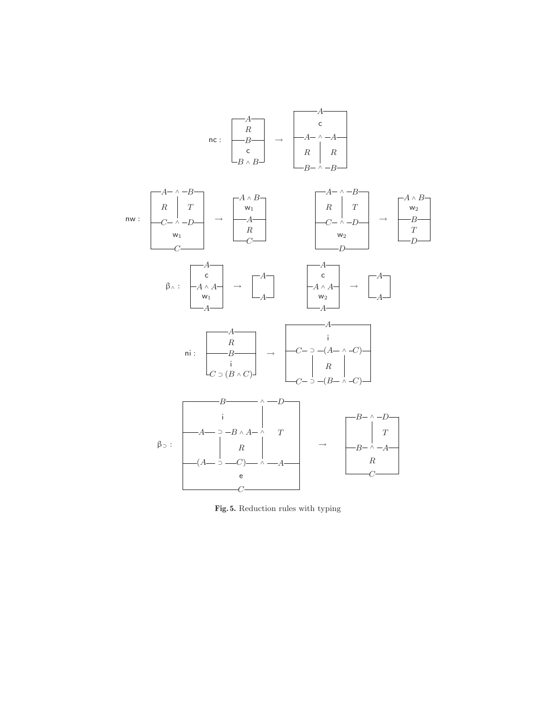

Fig. 5. Reduction rules with typing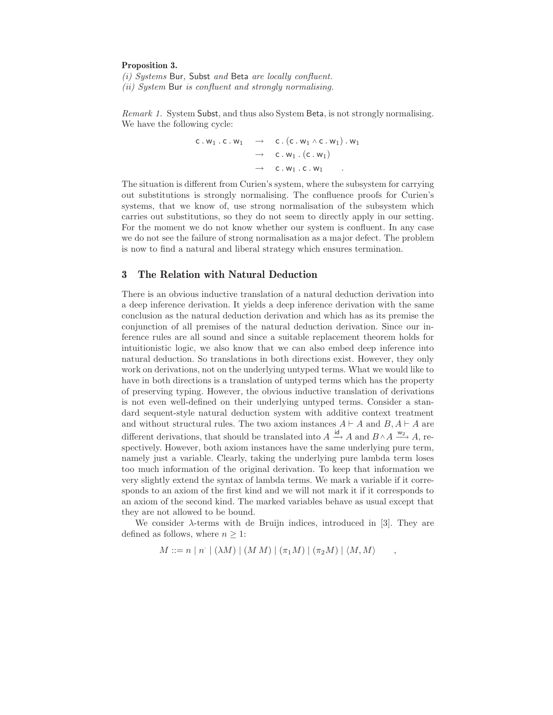#### Proposition 3.

(i) Systems Bur, Subst and Beta are locally confluent.

(ii) System Bur is confluent and strongly normalising.

Remark 1. System Subst, and thus also System Beta, is not strongly normalising. We have the following cycle:

$$
\begin{array}{lcl} \mathsf{c} \, . \, \mathsf{w}_1 \, . \, \mathsf{c} \, . \, \mathsf{w}_1 & \rightarrow & \mathsf{c} \, . \, \big( \mathsf{c} \, . \, \mathsf{w}_1 \wedge \mathsf{c} \, . \, \mathsf{w}_1 \big) \, . \, \mathsf{w}_1 \\ & \rightarrow & \mathsf{c} \, . \, \mathsf{w}_1 \, . \, \big( \mathsf{c} \, . \, \mathsf{w}_1 \big) \\ & \rightarrow & \mathsf{c} \, . \, \mathsf{w}_1 \, . \, \mathsf{c} \, . \, \mathsf{w}_1 \end{array}
$$

The situation is different from Curien's system, where the subsystem for carrying out substitutions is strongly normalising. The confluence proofs for Curien's systems, that we know of, use strong normalisation of the subsystem which carries out substitutions, so they do not seem to directly apply in our setting. For the moment we do not know whether our system is confluent. In any case we do not see the failure of strong normalisation as a major defect. The problem is now to find a natural and liberal strategy which ensures termination.

## 3 The Relation with Natural Deduction

There is an obvious inductive translation of a natural deduction derivation into a deep inference derivation. It yields a deep inference derivation with the same conclusion as the natural deduction derivation and which has as its premise the conjunction of all premises of the natural deduction derivation. Since our inference rules are all sound and since a suitable replacement theorem holds for intuitionistic logic, we also know that we can also embed deep inference into natural deduction. So translations in both directions exist. However, they only work on derivations, not on the underlying untyped terms. What we would like to have in both directions is a translation of untyped terms which has the property of preserving typing. However, the obvious inductive translation of derivations is not even well-defined on their underlying untyped terms. Consider a standard sequent-style natural deduction system with additive context treatment and without structural rules. The two axiom instances  $A \vdash A$  and  $B, A \vdash A$  are different derivations, that should be translated into  $A \xrightarrow{\text{id}} A$  and  $B \wedge A \xrightarrow{w_2} A$ , respectively. However, both axiom instances have the same underlying pure term, namely just a variable. Clearly, taking the underlying pure lambda term loses too much information of the original derivation. To keep that information we very slightly extend the syntax of lambda terms. We mark a variable if it corresponds to an axiom of the first kind and we will not mark it if it corresponds to an axiom of the second kind. The marked variables behave as usual except that they are not allowed to be bound.

We consider  $\lambda$ -terms with de Bruijn indices, introduced in [3]. They are defined as follows, where  $n \geq 1$ :

$$
M ::= n | n | (\lambda M) | (M M) | (\pi_1 M) | (\pi_2 M) | \langle M, M \rangle ,
$$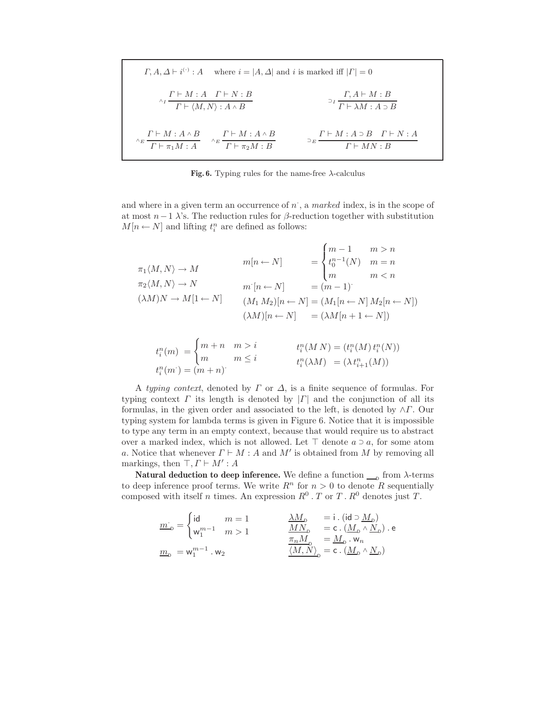$$
\Gamma, A, \Delta \vdash i^{(\cdot)} : A \quad \text{where } i = |A, \Delta| \text{ and } i \text{ is marked iff } |\Gamma| = 0
$$
\n
$$
\wedge_I \frac{\Gamma \vdash M : A \quad \Gamma \vdash N : B}{\Gamma \vdash \langle M, N \rangle : A \land B} \qquad \qquad \qquad \wedge_I \frac{\Gamma, A \vdash M : B}{\Gamma \vdash \lambda M : A \supset B}
$$
\n
$$
\wedge_E \frac{\Gamma \vdash M : A \land B}{\Gamma \vdash \pi_1 M : A} \qquad \wedge_E \frac{\Gamma \vdash M : A \land B}{\Gamma \vdash \pi_2 M : B} \qquad \qquad \qquad \wedge_E \frac{\Gamma \vdash M : A \supset B \quad \Gamma \vdash N : A}{\Gamma \vdash M N : B}
$$

Fig. 6. Typing rules for the name-free  $\lambda$ -calculus

and where in a given term an occurrence of  $n$ , a marked index, is in the scope of at most  $n-1$   $\lambda$ 's. The reduction rules for  $\beta$ -reduction together with substitution  $M[n \leftarrow N]$  and lifting  $t_i^n$  are defined as follows:

$$
\pi_1 \langle M, N \rangle \to M
$$
\n
$$
\pi_2 \langle M, N \rangle \to N
$$
\n
$$
\pi_3 \langle M, N \rangle \to N
$$
\n
$$
\pi_4 \langle M, N \rangle \to N
$$
\n
$$
\pi_5 \langle M, N \rangle \to N
$$
\n
$$
\pi_6 \langle M, N \rangle \to N
$$
\n
$$
\pi_7 \langle M, N \rangle \to N
$$
\n
$$
\pi_8 \langle M, N \rangle \to N
$$
\n
$$
\pi_9 \langle M, N \rangle \to N
$$
\n
$$
\pi_9 \langle M, N \rangle \to N
$$
\n
$$
\pi_9 \langle M, N \rangle \to N
$$
\n
$$
\pi_9 \langle M, N \rangle \to N
$$
\n
$$
\pi_9 \langle M, N \rangle \to N
$$
\n
$$
\pi_9 \langle M, N \rangle \to N
$$
\n
$$
\pi_9 \langle M, N \rangle \to N
$$
\n
$$
\pi_9 \langle M, N \rangle \to N
$$
\n
$$
\pi_9 \langle M, N \rangle \to N
$$
\n
$$
\pi_9 \langle M, N \rangle \to N
$$
\n
$$
\pi_9 \langle M, N \rangle \to N
$$
\n
$$
\pi_9 \langle M, N \rangle \to N
$$
\n
$$
\pi_9 \langle M, N \rangle \to N
$$
\n
$$
\pi_9 \langle M, N \rangle \to N
$$
\n
$$
\pi_9 \langle M, N \rangle \to N
$$
\n
$$
\pi_9 \langle M, N \rangle \to N
$$
\n
$$
\pi_9 \langle M, N \rangle \to N
$$
\n
$$
\pi_9 \langle M, N \rangle \to N
$$
\n
$$
\pi_9 \langle M, N \rangle \to N
$$
\n
$$
\pi_9 \langle M, N \rangle \to N
$$
\n
$$
\pi_9 \langle M, N \rangle \to N
$$
\n
$$
\pi_9 \langle M, N \rangle \to N
$$
\n
$$
\pi_9 \langle M, N \rangle \to N
$$
\n
$$
\pi_9 \langle M, N \rangle \to N
$$
\n
$$
\pi_9 \langle M, N \rangle \to N
$$
\n
$$
\
$$

$$
t_i^n(m) = \begin{cases} m+n & m > i \\ m & m \le i \end{cases} \qquad t_i^n(M\ N) = (t_i^n(M)\ t_i^n(N))
$$
  

$$
t_i^n(m^r) = (m+n)
$$

A typing context, denoted by  $\Gamma$  or  $\Delta$ , is a finite sequence of formulas. For typing context  $\Gamma$  its length is denoted by  $|\Gamma|$  and the conjunction of all its formulas, in the given order and associated to the left, is denoted by  $\wedge \Gamma$ . Our typing system for lambda terms is given in Figure 6. Notice that it is impossible to type any term in an empty context, because that would require us to abstract over a marked index, which is not allowed. Let  $\top$  denote  $a \supset a$ , for some atom a. Notice that whenever  $\Gamma \vdash M : A$  and  $M'$  is obtained from M by removing all markings, then  $\top, \Gamma \vdash M' : A$ 

Natural deduction to deep inference. We define a function  $_{-6}$  from  $\lambda$ -terms to deep inference proof terms. We write  $R^n$  for  $n > 0$  to denote R sequentially composed with itself n times. An expression  $R^0$ . T or T.  $R^0$  denotes just T.

$$
\begin{aligned} \underline{m}_{\mathrm{D}}^{\mathrm{.}} = \begin{cases} \mathrm{id} & m = 1 \\ \mathsf{w}_{1}^{m-1} & m > 1 \end{cases} & \begin{aligned} \underline{M}_{\mathrm{D}}^{\mathrm{.}} & = \mathrm{i} \, . \, (\mathrm{id} \supset \underline{M}_{\mathrm{D}}) \\ \underline{M}N_{\mathrm{D}}^{\mathrm{.}} & = \mathrm{c} \, . \, (\underline{M}_{\mathrm{D}} \wedge \underline{N}_{\mathrm{D}}) \, . \, \mathrm{e} \\ \underline{m}_{\mathrm{D}}^{\mathrm{.}} & = \mathsf{w}_{1}^{m-1} \, . \, \mathsf{w}_{2} \end{aligned} & \begin{aligned} \underline{M}N_{\mathrm{D}}^{\mathrm{.}} & = \mathrm{i} \, . \, (\mathrm{id} \supset \underline{M}_{\mathrm{D}}) \\ \underline{M}N_{\mathrm{D}}^{\mathrm{.}} & = \underline{M}_{\mathrm{D}}^{\mathrm{.}} \, . \, \mathsf{w}_{n} \\ \underline{M}^{\mathrm{.}}_{\mathrm{.}}N_{\mathrm{D}}^{\mathrm{.}} & = \mathrm{c} \, . \, (\underline{M}_{\mathrm{D}} \wedge \underline{N}_{\mathrm{D}}) \, . \, \mathrm{e} \end{aligned} \end{aligned}
$$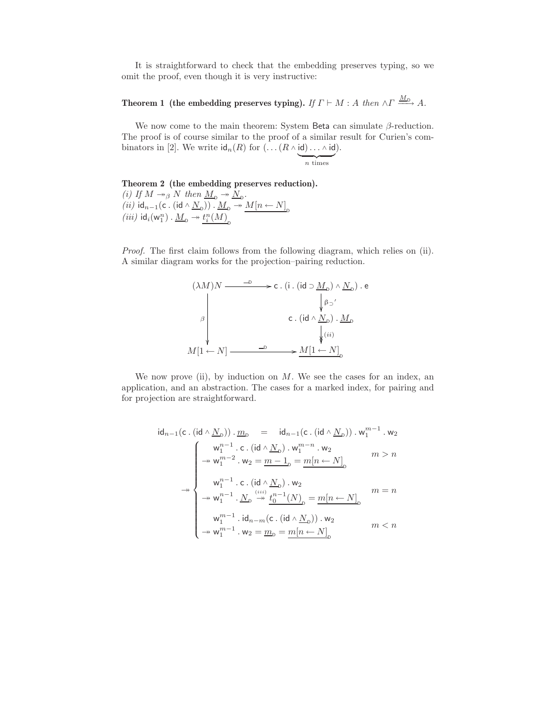It is straightforward to check that the embedding preserves typing, so we omit the proof, even though it is very instructive:

# Theorem 1 (the embedding preserves typing). If  $\Gamma \vdash M : A$  then  $\wedge \Gamma \xrightarrow{M_D} A$ .

We now come to the main theorem: System Beta can simulate  $\beta$ -reduction. The proof is of course similar to the proof of a similar result for Curien's combinators in [2]. We write  $\mathsf{id}_n(R)$  for  $(\ldots(R \wedge \mathsf{id}) \ldots \wedge \mathsf{id})$ ).

 $\overbrace{n \text{ times}}$ 

Theorem 2 (the embedding preserves reduction). (i) If  $M \rightarrow \beta N$  then  $M_{\rm o} \rightarrow N_{\rm o}$ .  $(iii)$  id<sub>n−1</sub>(c . (id ^ <u>N<sub>p</sub></u>)) . <u>M</u><sub>p</sub> →  $M[n \leftarrow N]$ <sub>p</sub> (*iii*) id<sub>i</sub>(w<sup>n</sup><sub>1</sub>) . <u>M</u><sub>p</sub> →  $\frac{t_i^n(M)}{t_i^{n}(M)}$ <sub>p</sub>

Proof. The first claim follows from the following diagram, which relies on (ii). A similar diagram works for the projection–pairing reduction.



We now prove (ii), by induction on  $M$ . We see the cases for an index, an application, and an abstraction. The cases for a marked index, for pairing and for projection are straightforward.

$$
\operatorname{id}_{n-1}(\mathbf{c} \cdot (\mathsf{id} \wedge \underline{N}_{\mathbf{D}})) \cdot \underline{m}_{\mathbf{D}} = \operatorname{id}_{n-1}(\mathbf{c} \cdot (\mathsf{id} \wedge \underline{N}_{\mathbf{D}})) \cdot \mathbf{w}_{1}^{m-1} \cdot \mathbf{w}_{2}
$$
\n
$$
\begin{cases}\n\mathbf{w}_{1}^{n-1} \cdot \mathbf{c} \cdot (\mathsf{id} \wedge \underline{N}_{\mathbf{D}}) \cdot \mathbf{w}_{1}^{m-n} \cdot \mathbf{w}_{2} \\
\rightarrow \mathbf{w}_{1}^{m-2} \cdot \mathbf{w}_{2} = \underline{m-1}_{\mathbf{D}} = \underline{m[n \leftarrow N]}_{\mathbf{D}} & m > n\n\end{cases}
$$
\n
$$
\begin{matrix}\n\mathbf{w}_{1}^{n-1} \cdot \mathbf{c} \cdot (\mathsf{id} \wedge \underline{N}_{\mathbf{D}}) \cdot \mathbf{w}_{2} \\
\rightarrow \mathbf{w}_{1}^{n-1} \cdot \mathbf{c} \cdot (\mathsf{id} \wedge \underline{N}_{\mathbf{D}}) \cdot \mathbf{w}_{2} \\
\rightarrow \mathbf{w}_{1}^{m-1} \cdot \mathbf{d}_{n-m}(\mathbf{c} \cdot (\mathsf{id} \wedge \underline{N}_{\mathbf{D}})) \cdot \mathbf{w}_{2} \\
\rightarrow \mathbf{w}_{1}^{m-1} \cdot \mathbf{w}_{2} = \underline{m}_{\mathbf{D}} = \underline{m[n \leftarrow N]}_{\mathbf{D}} & m < n\n\end{cases}
$$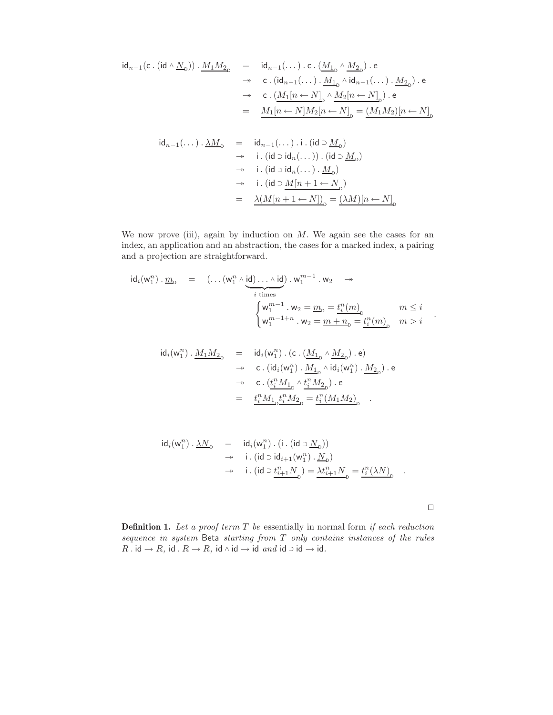$$
\begin{array}{rcl} \mathrm{id}_{n-1}(\mathsf{c}\,.\,(\mathrm{id}\wedge\underline{N}_{\mathsf{D}}))\,.\,\underline{M_1M_2}_{\mathsf{D}} & = & \mathrm{id}_{n-1}(\dots)\,.\,\mathsf{c}\,.\,(\underline{M_1}_{\mathsf{D}}\wedge\underline{M_2}_{\mathsf{D}})\,.\,\mathsf{e}\\[1.5ex] & \rightarrow & \mathsf{c}\,.\,(\mathrm{id}_{n-1}(\dots)\,.\,\underline{M_1}_{\mathsf{D}}\wedge\mathrm{id}_{n-1}(\dots)\,.\,\underline{M_2}_{\mathsf{D}})\,.\,\mathsf{e}\\[1.5ex] & \rightarrow & \mathsf{c}\,.\,(\underline{M_1[n\leftarrow N]_{\mathsf{D}}\wedge\underline{M_2[n\leftarrow N]_{\mathsf{D}}})\,.\,\mathsf{e}\\[1.5ex] & = & \underline{M_1[n\leftarrow N]M_2[n\leftarrow N]_{\mathsf{D}} = (\underline{M_1M_2})[n\leftarrow N]_{\mathsf{D}}} \end{array}
$$

$$
\mathrm{id}_{n-1}(\dots) \cdot \underline{\lambda M}_{\mathrm{o}} = \mathrm{id}_{n-1}(\dots) \cdot \mathrm{i} \cdot (\mathrm{id} \supset \underline{M}_{\mathrm{o}})
$$
  
\n
$$
\rightarrow \mathrm{i} \cdot (\mathrm{id} \supset \mathrm{id}_{n}(\dots)) \cdot (\mathrm{id} \supset \underline{M}_{\mathrm{o}})
$$
  
\n
$$
\rightarrow \mathrm{i} \cdot (\mathrm{id} \supset \mathrm{id}_{n}(\dots) \cdot \underline{M}_{\mathrm{o}})
$$
  
\n
$$
\rightarrow \mathrm{i} \cdot (\mathrm{id} \supset \underline{M[n+1 \leftarrow N_{\mathrm{o}})}
$$
  
\n
$$
= \underline{\lambda (M[n+1 \leftarrow N])_{\mathrm{o}} = (\underline{\lambda M)}[n \leftarrow N]_{\mathrm{o}}
$$

We now prove (iii), again by induction on  $M$ . We again see the cases for an index, an application and an abstraction, the cases for a marked index, a pairing and a projection are straightforward.

$$
\begin{array}{rcl} \mathrm{id}_i(\mathsf{w}_1^n)\cdot \underline{m}_\mathsf{D} & = & \left(\dots\left(\mathsf{w}_1^n\wedge \underset{i\text{ times}}{\mathsf{id}}\right)\dots\wedge \mathrm{id}\right)\cdot \mathsf{w}_1^{m-1}\cdot \mathsf{w}_2 & \twoheadrightarrow \\ & & \downarrow \underset{i\text{ times}}{\mathsf{times}} \\ & & \left\{\begin{aligned} \mathsf{w}_1^{m-1}\cdot \mathsf{w}_2 & = \underline{m}_\mathsf{D} = \underline{t}_i^n(m) \\ \mathsf{w}_1^{m-1+n}\cdot \mathsf{w}_2 & = \underline{m+n}_\mathsf{D} = \underline{t}_i^n(m) \end{aligned}\right. & & & & m \leq i \\ & & \times \end{array}.
$$

$$
\begin{array}{rcl} \mathrm{id}_i(\mathsf{w}_1^n)\cdot \underline{M_1M_2}_\mathrm{D} & = & \mathrm{id}_i(\mathsf{w}_1^n)\ . \ (\mathsf{c}\ .\ (\underline{M_1}_\mathrm{D}\wedge \underline{M_2}_\mathrm{D})\ .\ \mathrm{e}) \\ \\ & \to & \mathsf{c}\ . \ (\mathrm{id}_i(\mathsf{w}_1^n)\ .\ \underline{M_1}_\mathrm{D}\wedge \mathrm{id}_i(\mathsf{w}_1^n)\ .\ \underline{M_2}_\mathrm{D})\ .\ \mathrm{e} \\ \\ & \to & \mathsf{c}\ .\ (\underline{t}_i^n\underline{M_1}_\mathrm{D}\wedge \underline{t}_i^n\underline{M_2}_\mathrm{D})\ .\ \mathrm{e} \\ \\ & = & \ \underline{t}_i^n\underline{M_1}_\mathrm{D}\underline{t}_i^n\underline{M_2}_\mathrm{D} = \underline{t}_i^n(\underline{M_1M_2})_\mathrm{D} \ \ . \end{array}
$$

$$
\mathrm{id}_i(\mathsf{w}_1^n) \cdot \underline{\lambda N}_\mathsf{D} = \mathrm{id}_i(\mathsf{w}_1^n) \cdot (\mathrm{i} \cdot (\mathrm{id} \supset \underline{N}_\mathsf{D}))
$$
  
\n
$$
\rightarrow \mathrm{i} \cdot (\mathrm{id} \supset \mathrm{id}_{i+1}(\mathsf{w}_1^n) \cdot \underline{N}_\mathsf{D})
$$
  
\n
$$
\rightarrow \mathrm{i} \cdot (\mathrm{id} \supset \underline{t}_{i+1}^n \underline{N}_\mathsf{D}) = \underline{\lambda t}_{i+1}^n \underline{N}_\mathsf{D} = \underline{t}_i^n (\underline{\lambda N})_\mathsf{D}.
$$

 $\Box$ 

**Definition 1.** Let a proof term  $T$  be essentially in normal form if each reduction sequence in system Beta starting from T only contains instances of the rules  $R \cdot id \to R$ , id  $\ldots R \to R$ , id  $\wedge id \to id$  and id  $\supset id \to id$ .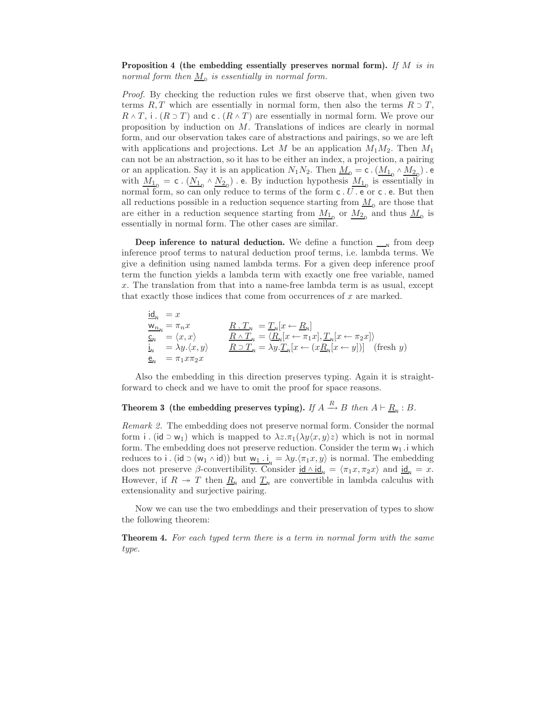Proposition 4 (the embedding essentially preserves normal form). If M is in normal form then  $\underline{M}_{\text{D}}$  is essentially in normal form.

Proof. By checking the reduction rules we first observe that, when given two terms  $R, T$  which are essentially in normal form, then also the terms  $R \supset T$ ,  $R \wedge T$ , i.  $(R \supset T)$  and c.  $(R \wedge T)$  are essentially in normal form. We prove our proposition by induction on M. Translations of indices are clearly in normal form, and our observation takes care of abstractions and pairings, so we are left with applications and projections. Let M be an application  $M_1M_2$ . Then  $M_1$ can not be an abstraction, so it has to be either an index, a projection, a pairing or an application. Say it is an application  $N_1N_2$ . Then  $\underline{M}_{\mathsf{D}} = \mathsf{c} \cdot (\underline{M}_{1_{\mathsf{D}}} \wedge \underline{M}_{2_{\mathsf{D}}})$ . with  $M_{1_{\mathcal{D}}} = c \cdot (N_{1_{\mathcal{D}}} \wedge N_{2_{\mathcal{D}}})$ . e. By induction hypothesis  $M_{1_{\mathcal{D}}}$  is essentially in normal form, so can only reduce to terms of the form  $c \cdot U \cdot e$  or  $c \cdot e$ . But then all reductions possible in a reduction sequence starting from  $M_{\text{D}}$  are those that are either in a reduction sequence starting from  $\underline{M}_{1_{\mathsf{D}}}$  or  $\underline{M}_{2_{\mathsf{D}}}$  and thus  $\underline{M}_{\mathsf{D}}$  is essentially in normal form. The other cases are similar.

**Deep inference to natural deduction.** We define a function  $\mathbf{v}$  from deep inference proof terms to natural deduction proof terms, i.e. lambda terms. We give a definition using named lambda terms. For a given deep inference proof term the function yields a lambda term with exactly one free variable, named x. The translation from that into a name-free lambda term is as usual, except that exactly those indices that come from occurrences of  $x$  are marked.

$$
\begin{array}{lll} \underline{\text{id}}_{\text{N}} & = \text{$x$} \\ \underline{\text{w}}_{n_{\text{N}}} & = \pi_{n} \text{$x$} \\ \underline{\text{c}}_{\text{N}} & = \langle \text{$x$}, \text{$x$} \rangle \\ \underline{\text{i}}_{\text{N}} & = \langle \text{$y$}, \text{$x$} \rangle \end{array} \qquad \begin{array}{lll} \underline{R} \cdot \underline{T}_{\text{N}} & = \underline{T}_{\text{N}} [ \text{$x \leftarrow \underline{R}_{\text{N}} ]} \\ \underline{R} \wedge \underline{T}_{\text{N}} & = \langle \underline{R}_{\text{N}} [ \text{$x \leftarrow \pi_{1} x ]}, \underline{T}_{\text{N}} [ \text{$x \leftarrow \pi_{2} x ]} \rangle \\ \underline{\text{i}}_{\text{N}} & = \lambda \text{$y \cdot \langle x, y \rangle$} & \underline{R} \supset \underline{T}_{\text{N}} & = \lambda \text{$y \cdot \underline{T}_{\text{N}} [ \text{$x \leftarrow (x \underline{R}_{\text{N}} [ \text{$x \leftarrow y ]$}) ]$} \end{array} \end{array} \begin{array}{l} \text{(fresh $y$)} \end{array}
$$

Also the embedding in this direction preserves typing. Again it is straightforward to check and we have to omit the proof for space reasons.

# Theorem 3 (the embedding preserves typing). If  $A \stackrel{R}{\rightarrow} B$  then  $A \vdash \underline{R}_{\text{N}} : B$ .

Remark 2. The embedding does not preserve normal form. Consider the normal form i . (id  $\supset w_1$ ) which is mapped to  $\lambda z.\pi_1(\lambda y\langle x, y\rangle z)$  which is not in normal form. The embedding does not preserve reduction. Consider the term  $w_1$  i which reduces to i. (id  $\supset (w_1 \wedge id)$ ) but  $w_1 \cdot i_N = \lambda y \cdot \langle \pi_1 x, y \rangle$  is normal. The embedding does not preserve β-convertibility. Consider  $\underline{\mathsf{id} \wedge \mathsf{id}}_N = \langle \pi_1 x, \pi_2 x \rangle$  and  $\underline{\mathsf{id}}_N = x$ . However, if  $R \to T$  then  $\underline{R}_{N}$  and  $\underline{T}_{N}$  are convertible in lambda calculus with extensionality and surjective pairing.

Now we can use the two embeddings and their preservation of types to show the following theorem:

Theorem 4. For each typed term there is a term in normal form with the same type.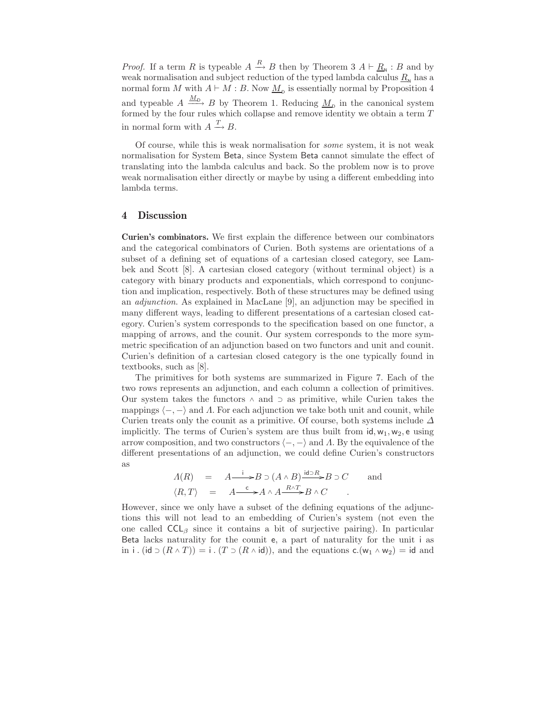*Proof.* If a term R is typeable  $A \xrightarrow{R} B$  then by Theorem 3  $A \vdash \underline{R}_{N} : B$  and by weak normalisation and subject reduction of the typed lambda calculus  $\underline{R}_{\mathsf{N}}$  has a normal form M with  $A \vdash M : B$ . Now  $\underline{M}_{\mathsf{D}}$  is essentially normal by Proposition 4 and typeable  $A \xrightarrow{M_D} B$  by Theorem 1. Reducing  $M_D$  in the canonical system formed by the four rules which collapse and remove identity we obtain a term T in normal form with  $A \stackrel{T}{\longrightarrow} B$ .

Of course, while this is weak normalisation for some system, it is not weak normalisation for System Beta, since System Beta cannot simulate the effect of translating into the lambda calculus and back. So the problem now is to prove weak normalisation either directly or maybe by using a different embedding into lambda terms.

### 4 Discussion

Curien's combinators. We first explain the difference between our combinators and the categorical combinators of Curien. Both systems are orientations of a subset of a defining set of equations of a cartesian closed category, see Lambek and Scott [8]. A cartesian closed category (without terminal object) is a category with binary products and exponentials, which correspond to conjunction and implication, respectively. Both of these structures may be defined using an adjunction. As explained in MacLane [9], an adjunction may be specified in many different ways, leading to different presentations of a cartesian closed category. Curien's system corresponds to the specification based on one functor, a mapping of arrows, and the counit. Our system corresponds to the more symmetric specification of an adjunction based on two functors and unit and counit. Curien's definition of a cartesian closed category is the one typically found in textbooks, such as [8].

The primitives for both systems are summarized in Figure 7. Each of the two rows represents an adjunction, and each column a collection of primitives. Our system takes the functors  $\land$  and  $\supset$  as primitive, while Curien takes the mappings  $\langle -, - \rangle$  and  $\Lambda$ . For each adjunction we take both unit and counit, while Curien treats only the counit as a primitive. Of course, both systems include  $\Delta$ implicitly. The terms of Curien's system are thus built from  $id, w_1, w_2, e$  using arrow composition, and two constructors  $\langle -, - \rangle$  and  $\Lambda$ . By the equivalence of the different presentations of an adjunction, we could define Curien's constructors as

$$
A(R) = A \xrightarrow{\text{i}} B \supset (A \wedge B) \xrightarrow{\text{id} \supset R} B \supset C \quad \text{and}
$$
  

$$
\langle R, T \rangle = A \xrightarrow{\text{c}} A \wedge A \xrightarrow{R \wedge T} B \wedge C \quad .
$$

However, since we only have a subset of the defining equations of the adjunctions this will not lead to an embedding of Curien's system (not even the one called  $CCL<sub>β</sub>$  since it contains a bit of surjective pairing). In particular Beta lacks naturality for the counit e, a part of naturality for the unit i as in i . (id  $\supset (R \wedge T) = i$  .  $(T \supset (R \wedge id))$ , and the equations  $c.(w_1 \wedge w_2) = id$  and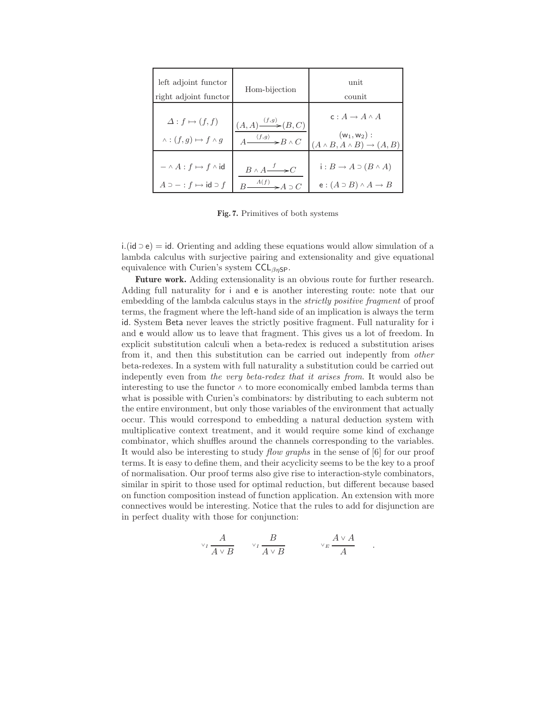| left adjoint functor<br>right adjoint functor | Hom-bijection                                                          | unit<br>counit                                                  |
|-----------------------------------------------|------------------------------------------------------------------------|-----------------------------------------------------------------|
| $\Delta: f \mapsto (f, f)$                    | $(A, A) \xrightarrow{(f,g)} (B, C)$                                    | $c: A \rightarrow A \wedge A$                                   |
| $\wedge$ : $(f,g) \mapsto f \wedge g$         | $A \xrightarrow{\langle f,g \rangle} B \wedge C$                       | $(w_1, w_2)$ :<br>$(A \wedge B, A \wedge B) \rightarrow (A, B)$ |
| $- \wedge A : f \mapsto f \wedge id$          | $B \wedge A \xrightarrow{f} C$                                         | $i: B \to A \supset (B \wedge A)$                               |
| $A \supset - : f \mapsto id \supset f$        | $\stackrel{\Lambda(f)}{\longrightarrow} A \supset C$<br>$\overline{R}$ | $e:(A\supset B)\wedge A\rightarrow B$                           |

Fig. 7. Primitives of both systems

i.(id <sup>⊃</sup> e) = id. Orienting and adding these equations would allow simulation of a lambda calculus with surjective pairing and extensionality and give equational equivalence with Curien's system  $CCL_{\beta\eta\text{SP}}$ .

Future work. Adding extensionality is an obvious route for further research. Adding full naturality for i and e is another interesting route: note that our embedding of the lambda calculus stays in the strictly positive fragment of proof terms, the fragment where the left-hand side of an implication is always the term id. System Beta never leaves the strictly positive fragment. Full naturality for i and e would allow us to leave that fragment. This gives us a lot of freedom. In explicit substitution calculi when a beta-redex is reduced a substitution arises from it, and then this substitution can be carried out indepently from other beta-redexes. In a system with full naturality a substitution could be carried out indepently even from the very beta-redex that it arises from. It would also be interesting to use the functor ∧ to more economically embed lambda terms than what is possible with Curien's combinators: by distributing to each subterm not the entire environment, but only those variables of the environment that actually occur. This would correspond to embedding a natural deduction system with multiplicative context treatment, and it would require some kind of exchange combinator, which shuffles around the channels corresponding to the variables. It would also be interesting to study flow graphs in the sense of [6] for our proof terms. It is easy to define them, and their acyclicity seems to be the key to a proof of normalisation. Our proof terms also give rise to interaction-style combinators, similar in spirit to those used for optimal reduction, but different because based on function composition instead of function application. An extension with more connectives would be interesting. Notice that the rules to add for disjunction are in perfect duality with those for conjunction:

$$
\vee_I \frac{A}{A \vee B} \qquad \vee_I \frac{B}{A \vee B} \qquad \qquad \vee_E \frac{A \vee A}{A}
$$

.